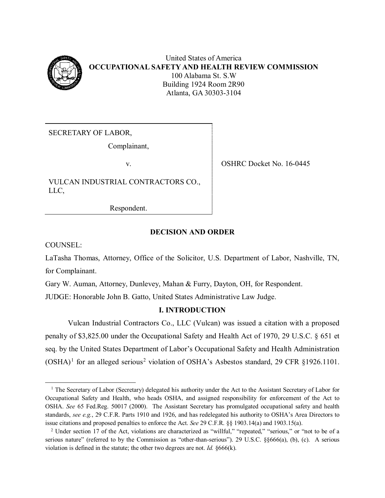

SECRETARY OF LABOR,

Complainant,

VULCAN INDUSTRIAL CONTRACTORS CO., LLC,

Respondent.

v. OSHRC Docket No. 16-0445

# **DECISION AND ORDER**

COUNSEL:

l

LaTasha Thomas, Attorney, Office of the Solicitor, U.S. Department of Labor, Nashville, TN, for Complainant.

Gary W. Auman, Attorney, Dunlevey, Mahan & Furry, Dayton, OH, for Respondent.

JUDGE: Honorable John B. Gatto, United States Administrative Law Judge.

# **I. INTRODUCTION**

Vulcan Industrial Contractors Co., LLC (Vulcan) was issued a citation with a proposed penalty of \$3,825.00 under the Occupational Safety and Health Act of 1970, 29 U.S.C. § 651 et seq. by the United States Department of Labor's Occupational Safety and Health Administration  $(OSHA)^1$  $(OSHA)^1$  for an alleged serious<sup>[2](#page-0-1)</sup> violation of OSHA's Asbestos standard, 29 CFR §1926.1101.

<span id="page-0-0"></span><sup>&</sup>lt;sup>1</sup> The Secretary of Labor (Secretary) delegated his authority under the Act to the Assistant Secretary of Labor for Occupational Safety and Health, who heads OSHA, and assigned responsibility for enforcement of the Act to OSHA. *See* 65 Fed.Reg. 50017 (2000). The Assistant Secretary has promulgated occupational safety and health standards, *see e.g.*, 29 C.F.R. Parts 1910 and 1926, and has redelegated his authority to OSHA's Area Directors to issue citations and proposed penalties to enforce the Act. *See* 29 C.F.R. §§ 1903.14(a) and 1903.15(a).

<span id="page-0-1"></span><sup>2</sup> Under section 17 of the Act, violations are characterized as "willful," "repeated," "serious," or "not to be of a serious nature" (referred to by the Commission as "other-than-serious"). 29 U.S.C. §§666(a), (b), (c). A serious violation is defined in the statute; the other two degrees are not. *Id.* §666(k).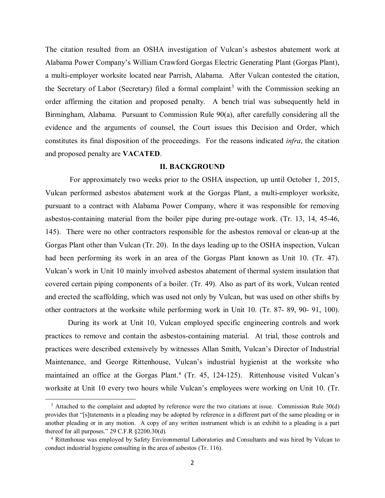The citation resulted from an OSHA investigation of Vulcan's asbestos abatement work at Alabama Power Company's William Crawford Gorgas Electric Generating Plant (Gorgas Plant), a multi-employer worksite located near Parrish, Alabama. After Vulcan contested the citation, the Secretary of Labor (Secretary) filed a formal complaint<sup>[3](#page-1-0)</sup> with the Commission seeking an order affirming the citation and proposed penalty. A bench trial was subsequently held in Birmingham, Alabama. Pursuant to Commission Rule 90(a), after carefully considering all the evidence and the arguments of counsel, the Court issues this Decision and Order, which constitutes its final disposition of the proceedings. For the reasons indicated *infra*, the citation and proposed penalty are **VACATED**.

#### **II. BACKGROUND**

For approximately two weeks prior to the OSHA inspection, up until October 1, 2015, Vulcan performed asbestos abatement work at the Gorgas Plant, a multi-employer worksite, pursuant to a contract with Alabama Power Company, where it was responsible for removing asbestos-containing material from the boiler pipe during pre-outage work. (Tr. 13, 14, 45-46, 145). There were no other contractors responsible for the asbestos removal or clean-up at the Gorgas Plant other than Vulcan (Tr. 20). In the days leading up to the OSHA inspection, Vulcan had been performing its work in an area of the Gorgas Plant known as Unit 10. (Tr. 47). Vulcan's work in Unit 10 mainly involved asbestos abatement of thermal system insulation that covered certain piping components of a boiler. (Tr. 49). Also as part of its work, Vulcan rented and erected the scaffolding, which was used not only by Vulcan, but was used on other shifts by other contractors at the worksite while performing work in Unit 10. (Tr. 87- 89, 90- 91, 100).

During its work at Unit 10, Vulcan employed specific engineering controls and work practices to remove and contain the asbestos-containing material. At trial, those controls and practices were described extensively by witnesses Allan Smith, Vulcan's Director of Industrial Maintenance, and George Rittenhouse, Vulcan's industrial hygienist at the worksite who maintained an office at the Gorgas Plant.<sup>[4](#page-1-1)</sup> (Tr. 45, 124-125). Rittenhouse visited Vulcan's worksite at Unit 10 every two hours while Vulcan's employees were working on Unit 10. (Tr.

 $\overline{\phantom{a}}$ 

<span id="page-1-0"></span> $3$  Attached to the complaint and adopted by reference were the two citations at issue. Commission Rule  $30(d)$ provides that "[s]tatements in a pleading may be adopted by reference in a different part of the same pleading or in another pleading or in any motion. A copy of any written instrument which is an exhibit to a pleading is a part thereof for all purposes." 29 C.F.R §2200.30(d).

<span id="page-1-1"></span><sup>4</sup> Rittenhouse was employed by Safety Environmental Laboratories and Consultants and was hired by Vulcan to conduct industrial hygiene consulting in the area of asbestos (Tr. 116).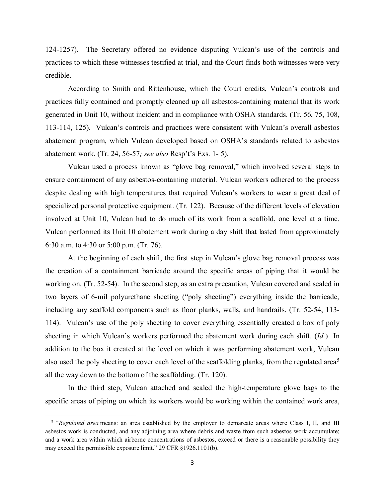124-1257). The Secretary offered no evidence disputing Vulcan's use of the controls and practices to which these witnesses testified at trial, and the Court finds both witnesses were very credible.

According to Smith and Rittenhouse, which the Court credits, Vulcan's controls and practices fully contained and promptly cleaned up all asbestos-containing material that its work generated in Unit 10, without incident and in compliance with OSHA standards. (Tr. 56, 75, 108, 113-114, 125). Vulcan's controls and practices were consistent with Vulcan's overall asbestos abatement program, which Vulcan developed based on OSHA's standards related to asbestos abatement work. (Tr. 24, 56-57*; see also* Resp't's Exs. 1- 5).

Vulcan used a process known as "glove bag removal," which involved several steps to ensure containment of any asbestos-containing material. Vulcan workers adhered to the process despite dealing with high temperatures that required Vulcan's workers to wear a great deal of specialized personal protective equipment. (Tr. 122). Because of the different levels of elevation involved at Unit 10, Vulcan had to do much of its work from a scaffold, one level at a time. Vulcan performed its Unit 10 abatement work during a day shift that lasted from approximately 6:30 a.m. to 4:30 or 5:00 p.m. (Tr. 76).

At the beginning of each shift, the first step in Vulcan's glove bag removal process was the creation of a containment barricade around the specific areas of piping that it would be working on. (Tr. 52-54). In the second step, as an extra precaution, Vulcan covered and sealed in two layers of 6-mil polyurethane sheeting ("poly sheeting") everything inside the barricade, including any scaffold components such as floor planks, walls, and handrails. (Tr. 52-54, 113- 114). Vulcan's use of the poly sheeting to cover everything essentially created a box of poly sheeting in which Vulcan's workers performed the abatement work during each shift. (*Id.*) In addition to the box it created at the level on which it was performing abatement work, Vulcan also used the poly sheeting to cover each level of the scaffolding planks, from the regulated area<sup>[5](#page-2-0)</sup> all the way down to the bottom of the scaffolding. (Tr. 120).

In the third step, Vulcan attached and sealed the high-temperature glove bags to the specific areas of piping on which its workers would be working within the contained work area,

 $\overline{\phantom{a}}$ 

<span id="page-2-0"></span><sup>&</sup>lt;sup>5</sup> "Regulated area means: an area established by the employer to demarcate areas where Class I, II, and III asbestos work is conducted, and any adjoining area where debris and waste from such asbestos work accumulate; and a work area within which airborne concentrations of asbestos, exceed or there is a reasonable possibility they may exceed the permissible exposure limit." 29 CFR §1926.1101(b).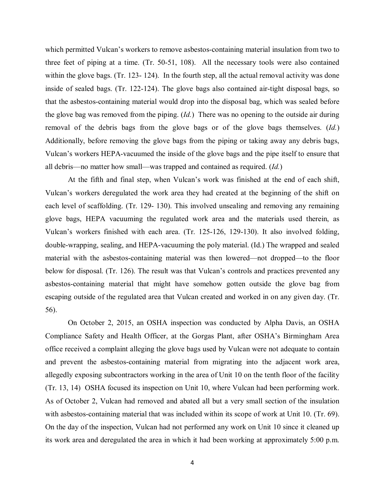which permitted Vulcan's workers to remove asbestos-containing material insulation from two to three feet of piping at a time. (Tr. 50-51, 108). All the necessary tools were also contained within the glove bags. (Tr. 123-124). In the fourth step, all the actual removal activity was done inside of sealed bags. (Tr. 122-124). The glove bags also contained air-tight disposal bags, so that the asbestos-containing material would drop into the disposal bag, which was sealed before the glove bag was removed from the piping. (*Id.*) There was no opening to the outside air during removal of the debris bags from the glove bags or of the glove bags themselves. (*Id.*) Additionally, before removing the glove bags from the piping or taking away any debris bags, Vulcan's workers HEPA-vacuumed the inside of the glove bags and the pipe itself to ensure that all debris—no matter how small—was trapped and contained as required. (*Id.*)

At the fifth and final step, when Vulcan's work was finished at the end of each shift, Vulcan's workers deregulated the work area they had created at the beginning of the shift on each level of scaffolding. (Tr. 129- 130). This involved unsealing and removing any remaining glove bags, HEPA vacuuming the regulated work area and the materials used therein, as Vulcan's workers finished with each area. (Tr. 125-126, 129-130). It also involved folding, double-wrapping, sealing, and HEPA-vacuuming the poly material. (Id.) The wrapped and sealed material with the asbestos-containing material was then lowered—not dropped—to the floor below for disposal. (Tr. 126). The result was that Vulcan's controls and practices prevented any asbestos-containing material that might have somehow gotten outside the glove bag from escaping outside of the regulated area that Vulcan created and worked in on any given day. (Tr. 56).

On October 2, 2015, an OSHA inspection was conducted by Alpha Davis, an OSHA Compliance Safety and Health Officer, at the Gorgas Plant, after OSHA's Birmingham Area office received a complaint alleging the glove bags used by Vulcan were not adequate to contain and prevent the asbestos-containing material from migrating into the adjacent work area, allegedly exposing subcontractors working in the area of Unit 10 on the tenth floor of the facility (Tr. 13, 14) OSHA focused its inspection on Unit 10, where Vulcan had been performing work. As of October 2, Vulcan had removed and abated all but a very small section of the insulation with asbestos-containing material that was included within its scope of work at Unit 10. (Tr. 69). On the day of the inspection, Vulcan had not performed any work on Unit 10 since it cleaned up its work area and deregulated the area in which it had been working at approximately 5:00 p.m.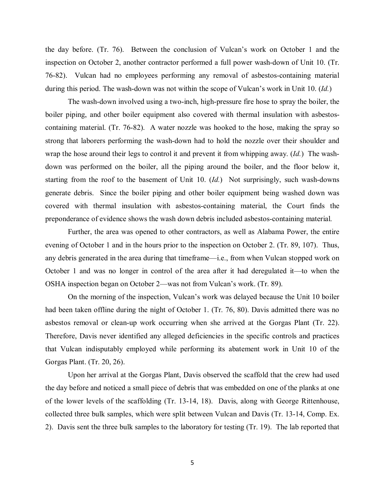the day before. (Tr. 76). Between the conclusion of Vulcan's work on October 1 and the inspection on October 2, another contractor performed a full power wash-down of Unit 10. (Tr. 76-82). Vulcan had no employees performing any removal of asbestos-containing material during this period. The wash-down was not within the scope of Vulcan's work in Unit 10. (*Id.*)

The wash-down involved using a two-inch, high-pressure fire hose to spray the boiler, the boiler piping, and other boiler equipment also covered with thermal insulation with asbestoscontaining material. (Tr. 76-82). A water nozzle was hooked to the hose, making the spray so strong that laborers performing the wash-down had to hold the nozzle over their shoulder and wrap the hose around their legs to control it and prevent it from whipping away. (*Id.*) The washdown was performed on the boiler, all the piping around the boiler, and the floor below it, starting from the roof to the basement of Unit 10. (*Id.*) Not surprisingly, such wash-downs generate debris. Since the boiler piping and other boiler equipment being washed down was covered with thermal insulation with asbestos-containing material, the Court finds the preponderance of evidence shows the wash down debris included asbestos-containing material.

Further, the area was opened to other contractors, as well as Alabama Power, the entire evening of October 1 and in the hours prior to the inspection on October 2. (Tr. 89, 107). Thus, any debris generated in the area during that timeframe—i.e., from when Vulcan stopped work on October 1 and was no longer in control of the area after it had deregulated it—to when the OSHA inspection began on October 2—was not from Vulcan's work. (Tr. 89).

On the morning of the inspection, Vulcan's work was delayed because the Unit 10 boiler had been taken offline during the night of October 1. (Tr. 76, 80). Davis admitted there was no asbestos removal or clean-up work occurring when she arrived at the Gorgas Plant (Tr. 22). Therefore, Davis never identified any alleged deficiencies in the specific controls and practices that Vulcan indisputably employed while performing its abatement work in Unit 10 of the Gorgas Plant. (Tr. 20, 26).

Upon her arrival at the Gorgas Plant, Davis observed the scaffold that the crew had used the day before and noticed a small piece of debris that was embedded on one of the planks at one of the lower levels of the scaffolding (Tr. 13-14, 18). Davis, along with George Rittenhouse, collected three bulk samples, which were split between Vulcan and Davis (Tr. 13-14, Comp. Ex. 2). Davis sent the three bulk samples to the laboratory for testing (Tr. 19). The lab reported that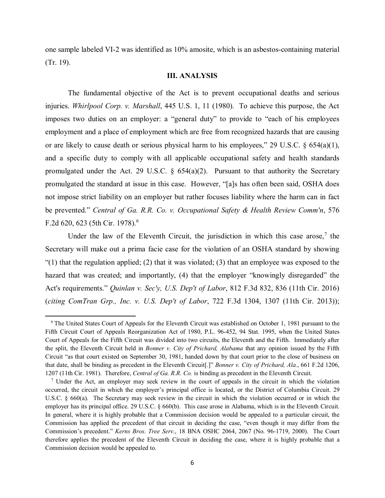one sample labeled VI-2 was identified as 10% amosite, which is an asbestos-containing material (Tr. 19).

#### **III. ANALYSIS**

The fundamental objective of the Act is to prevent occupational deaths and serious injuries. *Whirlpool Corp. v. Marshall*, 445 U.S. 1, 11 (1980). To achieve this purpose, the Act imposes two duties on an employer: a "general duty" to provide to "each of his employees employment and a place of employment which are free from recognized hazards that are causing or are likely to cause death or serious physical harm to his employees," 29 U.S.C. § 654(a)(1), and a specific duty to comply with all applicable occupational safety and health standards promulgated under the Act. 29 U.S.C.  $\S$  654(a)(2). Pursuant to that authority the Secretary promulgated the standard at issue in this case. However, "[a]s has often been said, OSHA does not impose strict liability on an employer but rather focuses liability where the harm can in fact be prevented." *Central of Ga. R.R. Co. v. Occupational Safety & Health Review Comm'n*, 576 F.2d [6](#page-5-0)20, 623 (5th Cir. 1978).<sup>6</sup>

Under the law of the Eleventh Circuit, the jurisdiction in which this case arose,<sup>[7](#page-5-1)</sup> the Secretary will make out a prima facie case for the violation of an OSHA standard by showing "(1) that the regulation applied; (2) that it was violated; (3) that an employee was exposed to the hazard that was created; and importantly, (4) that the employer "knowingly disregarded" the Act's requirements." *Quinlan v. Sec'y, U.S. Dep't of Labor*, 812 F.3d 832, 836 (11th Cir. 2016) (*citing ComTran Grp., Inc. v. U.S. Dep't of Labor*, 722 F.3d 1304, 1307 (11th Cir. 2013));

 $\overline{a}$ 

<span id="page-5-0"></span><sup>6</sup> The United States Court of Appeals for the Eleventh Circuit was established on October 1, 1981 pursuant to the Fifth Circuit Court of Appeals Reorganization Act of 1980, P.L. 96-452, 94 Stat. 1995, when the United States Court of Appeals for the Fifth Circuit was divided into two circuits, the Eleventh and the Fifth. Immediately after the split, the Eleventh Circuit held in *Bonner v. City of Prichard, Alabama* that any opinion issued by the Fifth Circuit "as that court existed on September 30, 1981, handed down by that court prior to the close of business on that date, shall be binding as precedent in the Eleventh Circuit[.]" *Bonner v. City of Prichard, Ala.*, 661 F.2d 1206, 1207 (11th Cir. 1981). Therefore, *Central of Ga. R.R. Co.* is binding as precedent in the Eleventh Circuit.

<span id="page-5-1"></span><sup>7</sup> Under the Act, an employer may seek review in the court of appeals in the circuit in which the violation occurred, the circuit in which the employer's principal office is located, or the District of Columbia Circuit. 29 U.S.C. § 660(a). The Secretary may seek review in the circuit in which the violation occurred or in which the employer has its principal office. 29 U.S.C. § 660(b). This case arose in Alabama, which is in the Eleventh Circuit. In general, where it is highly probable that a Commission decision would be appealed to a particular circuit, the Commission has applied the precedent of that circuit in deciding the case, "even though it may differ from the Commission's precedent." *Kerns Bros. Tree Serv.*, 18 BNA OSHC 2064, 2067 (No. 96-1719, 2000). The Court therefore applies the precedent of the Eleventh Circuit in deciding the case, where it is highly probable that a Commission decision would be appealed to.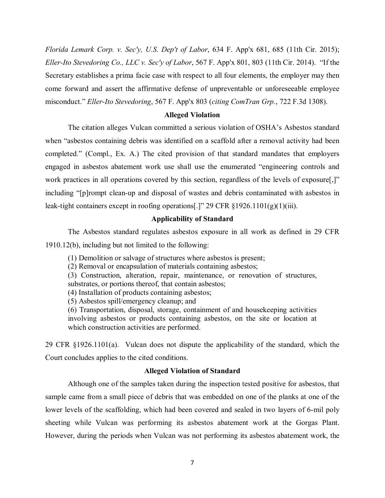*Florida Lemark Corp. v. Sec'y, U.S. Dep't of Labor*, 634 F. App'x 681, 685 (11th Cir. 2015); *Eller-Ito Stevedoring Co., LLC v. Sec'y of Labor*, 567 F. App'x 801, 803 (11th Cir. 2014). "If the Secretary establishes a prima facie case with respect to all four elements, the employer may then come forward and assert the affirmative defense of unpreventable or unforeseeable employee misconduct." *Eller-Ito Stevedoring*, 567 F. App'x 803 (*citing ComTran Grp.*, 722 F.3d 1308).

#### **Alleged Violation**

The citation alleges Vulcan committed a serious violation of OSHA's Asbestos standard when "asbestos containing debris was identified on a scaffold after a removal activity had been completed." (Compl., Ex. A.) The cited provision of that standard mandates that employers engaged in asbestos abatement work use shall use the enumerated "engineering controls and work practices in all operations covered by this section, regardless of the levels of exposure[,]" including "[p]rompt clean-up and disposal of wastes and debris contaminated with asbestos in leak-tight containers except in roofing operations[.]" 29 CFR §1926.1101(g)(1)(iii).

### **Applicability of Standard**

The Asbestos standard regulates asbestos exposure in all work as defined in 29 CFR 1910.12(b), including but not limited to the following:

(1) Demolition or salvage of structures where asbestos is present;

(2) Removal or encapsulation of materials containing asbestos;

(3) Construction, alteration, repair, maintenance, or renovation of structures, substrates, or portions thereof, that contain asbestos;

(4) Installation of products containing asbestos;

(5) Asbestos spill/emergency cleanup; and

(6) Transportation, disposal, storage, containment of and housekeeping activities involving asbestos or products containing asbestos, on the site or location at which construction activities are performed.

29 CFR §1926.1101(a). Vulcan does not dispute the applicability of the standard, which the Court concludes applies to the cited conditions.

#### **Alleged Violation of Standard**

Although one of the samples taken during the inspection tested positive for asbestos, that sample came from a small piece of debris that was embedded on one of the planks at one of the lower levels of the scaffolding, which had been covered and sealed in two layers of 6-mil poly sheeting while Vulcan was performing its asbestos abatement work at the Gorgas Plant. However, during the periods when Vulcan was not performing its asbestos abatement work, the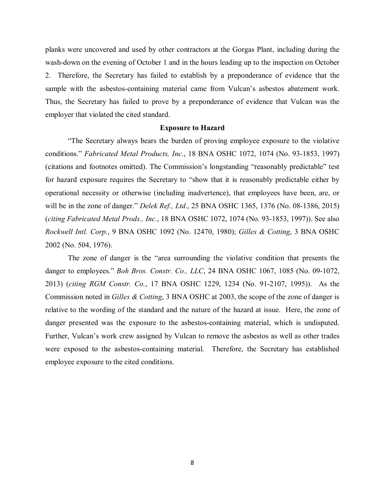planks were uncovered and used by other contractors at the Gorgas Plant, including during the wash-down on the evening of October 1 and in the hours leading up to the inspection on October 2. Therefore, the Secretary has failed to establish by a preponderance of evidence that the sample with the asbestos-containing material came from Vulcan's asbestos abatement work. Thus, the Secretary has failed to prove by a preponderance of evidence that Vulcan was the employer that violated the cited standard.

### **Exposure to Hazard**

"The Secretary always bears the burden of proving employee exposure to the violative conditions." *Fabricated Metal Products, Inc.*, 18 BNA OSHC 1072, 1074 (No. 93-1853, 1997) (citations and footnotes omitted). The Commission's longstanding "reasonably predictable" test for hazard exposure requires the Secretary to "show that it is reasonably predictable either by operational necessity or otherwise (including inadvertence), that employees have been, are, or will be in the zone of danger." *Delek Ref., Ltd*., 25 BNA OSHC 1365, 1376 (No. 08-1386, 2015) (*citing Fabricated Metal Prods., Inc.*, 18 BNA OSHC 1072, 1074 (No. 93-1853, 1997)). See also *Rockwell Intl. Corp.*, 9 BNA OSHC 1092 (No. 12470, 1980); *Gilles & Cotting*, 3 BNA OSHC 2002 (No. 504, 1976).

The zone of danger is the "area surrounding the violative condition that presents the danger to employees." *Boh Bros. Constr. Co., LLC*, 24 BNA OSHC 1067, 1085 (No. 09-1072, 2013) (*citing RGM Constr. Co.*, 17 BNA OSHC 1229, 1234 (No. 91-2107, 1995)). As the Commission noted in *Gilles & Cotting*, 3 BNA OSHC at 2003, the scope of the zone of danger is relative to the wording of the standard and the nature of the hazard at issue. Here, the zone of danger presented was the exposure to the asbestos-containing material, which is undisputed. Further, Vulcan's work crew assigned by Vulcan to remove the asbestos as well as other trades were exposed to the asbestos-containing material. Therefore, the Secretary has established employee exposure to the cited conditions.